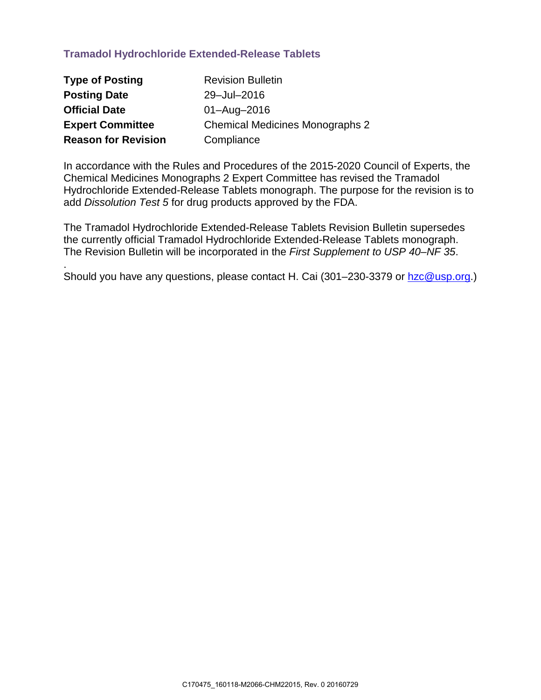## **Tramadol Hydrochloride Extended-Release Tablets**

.

| <b>Type of Posting</b>     | <b>Revision Bulletin</b>               |
|----------------------------|----------------------------------------|
| <b>Posting Date</b>        | 29-Jul-2016                            |
| <b>Official Date</b>       | $01 - \text{Aug} - 2016$               |
| <b>Expert Committee</b>    | <b>Chemical Medicines Monographs 2</b> |
| <b>Reason for Revision</b> | Compliance                             |

In accordance with the Rules and Procedures of the 2015-2020 Council of Experts, the Chemical Medicines Monographs 2 Expert Committee has revised the Tramadol Hydrochloride Extended-Release Tablets monograph. The purpose for the revision is to add *Dissolution Test 5* for drug products approved by the FDA.

The Tramadol Hydrochloride Extended-Release Tablets Revision Bulletin supersedes the currently official Tramadol Hydrochloride Extended-Release Tablets monograph. The Revision Bulletin will be incorporated in the *First Supplement to USP 40–NF 35*.

Should you have any questions, please contact H. Cai (301–230-3379 or [hzc@usp.org.](mailto:hzc@usp.org))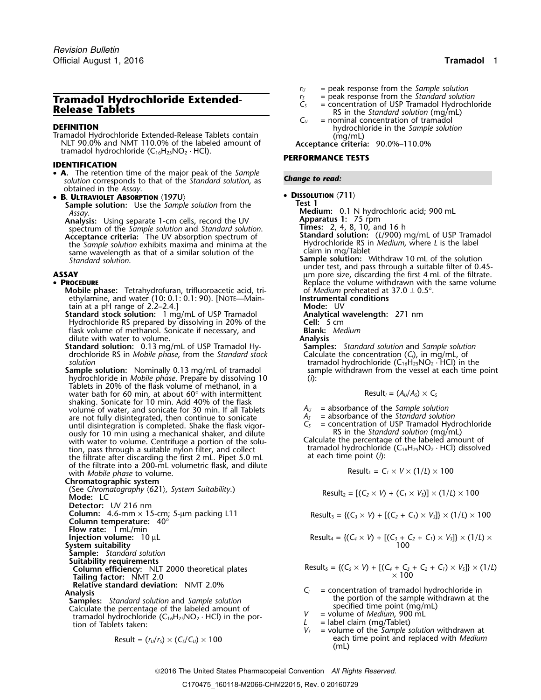# **Tramadol Hydrochloride Extended-**<br> **Release Tablets**<br> **Release Tablets**<br> **Release Tablets**<br> **Release Tablets**<br> **Release Tablets**<br> **Release Tablets**<br> **Release Tablets**<br> **Release Tablets**<br> **C**<sub>*C*</sub> = nominal concentration

**DEFINITION**<br>
Tramadol Hydrochloride Extended-Release Tablets contain (mg/mL)<br>
NLT 90.0% and NMT 110.0% of the labeled amount of **Acceptance criteria:** 90.0%–110.0% tramadol hydrochloride (C16H25NO<sup>2</sup> · HCl). **PERFORMANCE TESTS**

## **IDENTIFICATION**

- **<sup>A</sup>.** The retention time of the major peak of the *Sample Change to read: solution* corresponds to that of the *Standard solution*, as obtained in the *Assay*.
- **<sup>B</sup> <sup>D</sup>ISSOLUTION** 〈**711**〉 **. ULTRAVIOLET ABSORPTION** 〈**197U**〉
	- **Sample solution:** Use the *Sample solution* from the **Test 1**<br>Assay **Medi**

**Analysis:** Using separate 1-cm cells, record the UV spectrum of the *Sample solution* and *Standard solution*. **Times:** 2, 4, 8, 10, and 16 h **Acceptance criteria:** The UV absorption spectrum of **Standard solution:** (L/900) mg/mL of USP Tramadol<br>the Sample solution exhibits maxima and minima at the Hydrochloride RS in Medium, where L is the label the *Sample solution* exhibits maxima and minima at the Hydrochloride RS is<br>same wavelength as that of a similar solution of the claim in mg/Tablet<br>Sample solution.

## •

**Mobile phase:** Tetrahydrofuran, trifluoroacetic acid, tri- of *Medium* preheated at 37.0 ± 0.5°.<br>
ethylamine, and water (10: 0.1: 0.1: 90). [NOTE—Main- **Instrumental conditions** ethylamine, and water (10: 0.1: 0.1: 90). [NOTE—Main-**Instrumenta**<br>tain at a pH range of 2.2–2.4.] **IMODE:** UV

tain at a pH range of 2.2–2.4.]<br> **itandard stock solution:** 1 mg/mL of USP Tramadol **Manalytical wavelength:** 271 nm **Standard stock solution:** 1 mg/mL of USP Tramadol **Analytical wavelength:** 20% of the **Analytical wavelength:** 271 nm and the **Analytical wavelength:** 271 nm and the Cell: 271 nm and the Cell: 271 nm and the Cell: 271 nm Hydrochloride RS prepared by dissolving in 20% of the **Cell:** 5 cm<br>
flask volume of methanol. Sonicate if necessary, and **Blank:** Medium flask volume of methanol. Sonicate if necessary, and **Blank:** *Medium* dilute with water to volume.

**Standard solution:** 0.13 mg/mL of USP Tramadol Hy- **Samples:** *Standard solution* and *Sample solution* drochloride RS in *Mobile phase*, from the *Standard stock* 

**Sample solution:** Nominally 0.13 mg/mL of tramadol hydrochloride in *Mobile phase*. Prepare by dissolving 10 (*i*): Tablets in 20% of the flask volume of methanol, in a water bath for 60 min, at about 60° with intermittent shaking. Sonicate for 10 min. Add 40% of the flask volume of water, and sonicate for 30 min. If all Tablets  $A_U$  = absorbance of the *Sample solution*<br>are not fully disintegrated, then continue to sonicate  $A_S$  = absorbance of the *Standard solution* are not fully disintegrated, then continue to sonicate *A<sub>S</sub>* =  $\frac{A_S}{C_S}$ ously for 10 min using a mechanical shaker, and dilute RS in the *Standard solution* (mg/mL) with water to volume. Centrifuge a portion of the solu-<br>Calculate the percentage of the labeled amount of tion, pass through a suitable nylon filter, and collect tramadol hydrochloride  $(C_{16}H_{25}NO_2 \cdot HCl)$  dissolved<br>the filtrate after discarding the first 2 mL. Pipet 5.0 mL at each time point (i): the filtrate after discarding the first 2 mL. Pipet 5.0 mL of the filtrate into a 200-mL volumetric flask, and dilute with *Mobile phase* to volume.

**Chromatographic system**<br>(See Chromatography  $(621)$ , System Suitability.) (See *Chromatography*  $\langle 621 \rangle$ *, system Suitability.)* Result<sub>2</sub> =  $[(C_2 \times V) + (C_1 \times V_5)] \times (1/L) \times 100$ **Detector:** UV 216 nm **Column:** 4.6-mm × 15-cm; 5-µm packing L11 Result<sup>3</sup> = {(*C<sup>3</sup>* <sup>×</sup> *<sup>V</sup>*) + [(*C2*<sup>+</sup>*C1*) <sup>×</sup> *<sup>V</sup>S*]} × (1/*L*) ×<sup>100</sup> **Column temperature:** 40° **Flow rate:** 1 mL/min **Injection volume:**  $10 \mu L$ **System suitability Sample:** *Standard solution* **Suitability requirements Tailing factor:**  $\sqrt{\text{MT 2.0}}$   $\times 100$ **Relative standard deviation:** NMT 2.0%

**Samples:** *Standard solution* and *Sample solution*<br>Calculate the percentage of the labeled amount of specified time point (mg/mL)<br>tramadol hydrochloride (C<sub>16</sub>H<sub>25</sub>NO<sub>2</sub> · HCl) in the por-<br> $V =$  volume of *Medium*, 900 m Calculate the percentage of the labeled amount of  $V$  specified the point ( $\sim$  H) in the point (mg/mml) *V* = volume of *Medium, 900 mL*<br>tion of Tablets taken: *L* = label claim (mg/Tablet)<br>*V<sub>S</sub>* = volume of the *Sample solution* withdrawn at

$$
Result = (r_U/r_S) \times (C_S/C_U) \times 100
$$

- $r_U$  = peak response from the *Sample solution*<br> $r_S$  = peak response from the *Standard solution*
- 
- 
- $=$  nominal concentration of tramadol

- **Medium:** 0.1 N hydrochloric acid; 900 mL<br>**Apparatus 1:** 75 rpm<br>**Times:** 2, 4, 8, 10, and 16 h
	-
- 
- 
- **Sample solution:** Withdraw 10 mL of the solution under test, and pass through a suitable filter of 0.45- **ASSAY** µm pore size, discarding the first 4 mL of the filtrate. • PROCEDURE **REPLACE REPLACE ASSISTENT** Replace the volume withdrawn with the same volume
	-
	-
	-
	-
	-
	- *solution*<br> **Solution** in the solution: Nominally 0.13 mg/mL of tramadol sample withdrawn from the vessel at each time point

$$
Result_i = (A_U/A_S) \times C_S
$$

- 
- = concentration of USP Tramadol Hydrochloride<br>RS in the *Standard solution* (mg/mL)

$$
Result_1 = C_1 \times V \times (1/L) \times 100
$$

Result<sub>4</sub> = {
$$
(C_4 \times V)
$$
 + [ $(C_3 + C_2 + C_1) \times V_3$ ]  $\times$  (1/*L*)  $\times$   
100

Equation of Equation 11.1: 
$$
1/2
$$

\n**Column efficiency:**  $1/2$  2000 theoretical plates

\nResult<sub>5</sub> =  ${(C_5 \times V) + [(C_4 + C_3 + C_2 + C_1) \times V_5]} \times (1/l)$ 

\n7.100 × 100

- Analysis<br>Analysis *C<sub>i</sub>* = concentration of tramadol hydrochloride in<br>Samples: Standard solution and Sample solution **the portion of the sample withdrawn** at the
	-
	-
	- Result = (*<sup>r</sup>U*/*<sup>r</sup>S*) × (*CS*/*CU*) ×<sup>100</sup> each time point and replaced with *Medium* (mL)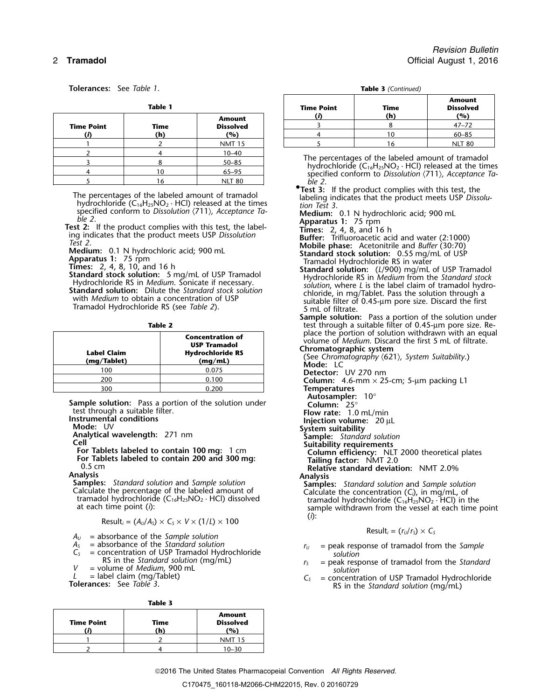**Tolerances:** See *Table 1*.

| TADIE T           |  |             | rime ro                                  |                 |
|-------------------|--|-------------|------------------------------------------|-----------------|
| <b>Time Point</b> |  | Time<br>(h) | <b>Amount</b><br><b>Dissolved</b><br>(%) |                 |
|                   |  |             | <b>NMT 15</b>                            |                 |
|                   |  |             | $10 - 40$                                |                 |
|                   |  |             | $50 - 85$                                | The pe          |
|                   |  |             | $65 - 95$                                | hydro<br>specii |
|                   |  | ۱6          | <b>NLT 80</b>                            |                 |

The percentages of the labeled amount of tramadol<br>hydrochloride (C<sub>16</sub>H<sub>25</sub>NO<sub>2</sub> · HCl) released at the times<br>specified conform to Dissolution (711), Acceptance Ta-<br>**Medium:** 0.1 N hydrochloric acid: 900 ml

| Label Claim<br>(mg/Tablet) | <b>Concentration of</b><br><b>USP Tramadol</b><br><b>Hydrochloride RS</b><br>(mq/mL) |
|----------------------------|--------------------------------------------------------------------------------------|
| 100                        | 0.075                                                                                |
| 200                        | 0.100                                                                                |
| 300                        | 0.200                                                                                |

**Sample solution:** Pass a portion of the solution under test through a suitable filter. test through a suitable filter.<br> **Instrumental conditions**<br> **Injection volume:** 20 μL<br> **Mode:** UV<br> **Injection volume:** 20 μL<br> **System suitability** 

**Mode:** UV **System Suite Section** Sample: *Standard solution* **Cell**<br> **Cell** Suitability requirements

ell<br>
For Tablets labeled to contain 100 mg: 1 cm<br>
For Tablets labeled to contain 200 and 300 mg:<br>
Tailing factor: NMT 2.0<br>
Relative standard deviation: NMT 2.0%

$$
\text{Result}_i = (A_0/A_5) \times C_5 \times V \times (1/L) \times 100 \tag{1}
$$

- $A_U$  = absorbance of the *Sample solution*<br>  $A_S$  = absorbance of the *Standard solution*<br>  $A_S$  = absorbance of the *Standard solution*<br>  $A_U$  = peak response of tramadol from
- 
- 
- *V* = volume of *Medium*, 900 mL *solution*<br>  $L =$  label claim (mg/Tablet)  $C_5 =$  concentration
- 

| <b>Time Point</b> | Time<br>'n | <b>Amount</b><br><b>Dissolved</b><br>(%) |
|-------------------|------------|------------------------------------------|
|                   |            |                                          |
|                   |            | 10–30                                    |

*Revision Bulletin* 2 **Tramadol** Official August 1, 2016

|  | Table 3 (Continued) |
|--|---------------------|
|--|---------------------|

|            | <b>Table 1</b> |                  | <b>Time Point</b> | <b>Time</b> | <b>Amount</b><br><b>Dissolved</b> |
|------------|----------------|------------------|-------------------|-------------|-----------------------------------|
|            |                | <b>Amount</b>    |                   | (h)         | (%)                               |
| Time Point | Time           | <b>Dissolved</b> |                   |             | $47 - 72$                         |
|            | (h)            | (%)              |                   | 10          | $60 - 85$                         |
|            |                | <b>NMT 15</b>    |                   | 16          | <b>NLT 80</b>                     |

The percentages of the labeled amount of tramadol<br>hydrochloride (C<sub>16</sub>H<sub>25</sub>NO<sub>2</sub> · HCl) released at the times<br>specified conform to *Dissolution*  $\langle 711 \rangle$ *, Acceptance Ta-*

**• Test 3:** If the product complies with this test, the

- 
- specified conform to Dissolution (711), Acceptance Ta-<br>
Test 2: If the product complies with this test, the label-<br>
Test 2: If the product complies with this test, the label-<br>
ing indicates that the product meets USP Disso

**Sample solution:** Pass a portion of the solution under **Table 2** test through a suitable filter of 0.45-µm pore size. Replace the portion of solution withdrawn with an equal<br>volume of *Medium*. Discard the first 5 mL of filtrate.<br>**Chromatographic system**<br>(See Chromatography  $(621)$ , System Suitability.)<br>**Mode:** LC

Detector: UV 270 nm

<sup>200</sup> 0.100 **Column:** 4.6-mm × 25-cm; 5-µm packing L1

- Temperatures<br>Autosampler: 10°<br>Column: 25°
- 
- 

- 
- 

0.5 cm **Relative standard deviation:** NMT 2.0%

**Analysis**<br> **Samples:** Standard solution and Sample solution<br>
Calculate the percentage of the labeled amount of<br>
tramadol hydrochloride (C<sub>16</sub>H<sub>25</sub>NO<sub>2</sub> · HCl) dissolved<br>
at each time point (i):<br>
at each time point (i):<br>

- *A*<sub>S</sub> = absorbance of the *Standard solution*<br> *C<sub>S</sub>* = concentration of USP Tramadol Hydrochloride *r<sub>S</sub>* = peak response of tramadol from the *Standar*<br> *RS* in the *Standard solution* (mg/mL) *r<sub>S</sub>* = peak response of
	- $r<sub>S</sub>$  = peak response of tramadol from the *Standard*
- *L* = label claim (mg/Tablet) *C<sub>S</sub>* = concentration of USP Tramadol Hydrochloride **Tolerances:** See *Table 3*. RS in the *Standard solution* (mg/mL)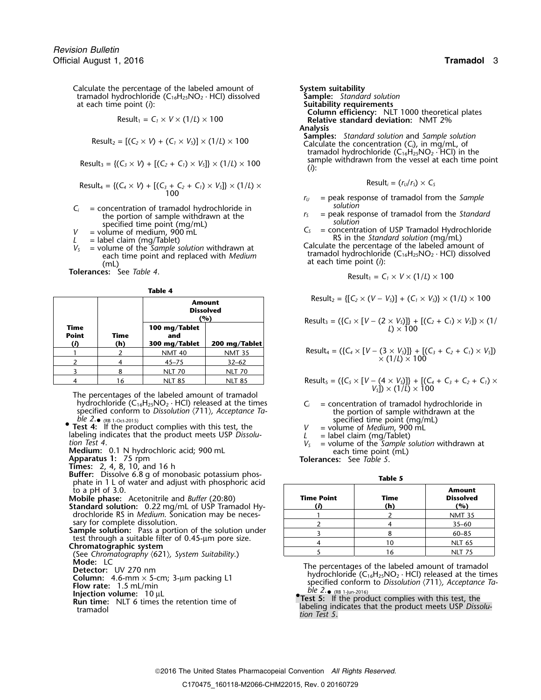Calculate the percentage of the labeled amount of **System suitability**<br>
tramadol hydrochloride (C<sub>16</sub>H<sub>25</sub>NO<sub>2</sub> · HCl) dissolved **Sample:** Standard solution tramadol hydrochloride (C<sub>16</sub>H<sub>25</sub>NO<sub>2</sub> · HCl) dissolved at each time point (*i*):

$$
Result_1 = C_1 \times V \times (1/L) \times 100
$$

$$
Result_2 = [(C_2 \times V) + (C_1 \times V_5)] \times (1/L) \times 100
$$

 $\text{Result}_3 = \{ (C_3 \times V) + [(C_2 + C_1) \times V_5] \} \times (1/L) \times 100$  Sat

$$
Result_4 = \{(C_4 \times V) + [(C_3 + C_2 + C_1) \times V_5] \} \times (1/L) \times
$$
 
$$
Result_4 = \{(r_0/r_5) \times C_5 \} \times (1/L) \times (1/L) \times (1/L) \times (1/L) \times (1/L) \times (1/L) \times (1/L) \times (1/L) \times (1/L) \times (1/L) \times (1/L) \times (1/L) \times (1/L) \times (1/L) \times (1/L) \times (1/L) \times (1/L) \times (1/L) \times (1/L) \times (1/L) \times (1/L) \times (1/L) \times (1/L) \times (1/L) \times (1/L) \times (1/L) \times (1/L) \times (1/L) \times (1/L) \times (1/L) \times (1/L) \times (1/L) \times (1/L) \times (1/L) \times (1/L) \times (1/L) \times (1/L) \times (1/L) \times (1/L) \times (1/L) \times (1/L) \times (1/L) \times (1/L) \times (1/L) \times (1/L) \times (1/L) \times (1/L) \times (1/L) \times (1/L) \times (1/L) \times (1/L) \times (1/L) \times (1/L) \times (1/L) \times (1/L) \times (1/L) \times (1/L) \times (1/L) \times (1/L) \times (1/L) \times (1/L) \times (1/L) \times (1/L) \times (1/L) \times (1/L) \times (1/L) \times (1/L) \times (1/L) \times (1/L) \times (1/L) \times (1/L) \times (1/L) \times (1/L) \times (1/L) \times (1/L) \times (1/L) \times (1/L) \times (1/L) \times (1/L) \times (1/L) \times (1/L) \times (1/L) \times (1/L) \times (1/L) \times (1/L) \times (1/L) \times (1/L) \times (1/L) \times (1/L) \times (1/L) \times (1/L) \times (1/L) \times (1/L) \times (1/L) \times (1/L) \times (1/L) \times (1/L) \times (1/L) \times (1/L) \times (1/L) \times (1/L) \times (1/L) \times (1/L) \times (1/L) \times (1/L) \times (1/L) \times (1/L) \times (1/L) \times (1/L) \times (1/L) \times (1/L) \times (1/L) \times (1/L) \times (1/L) \times (
$$

- $C_i$  = concentration of tramadol hydrochloride in<br>
the portion of sample withdrawn at the<br>
specified time point (mg/mL)<br>  $V$  = volume of medium, 900 mL<br>  $L$  = label claim (mg/Tablet)<br>  $V_s$  = volume of the *Sample solution*
- 
- 
- *(mL)*<br>**Tolerances:** See *Table 4*.

| Table |  |
|-------|--|
|-------|--|

|                     |      | <b>Amount</b><br><b>Dissolved</b><br>(%) |
|---------------------|------|------------------------------------------|
| Time                | Time | 100 mg/Tablet<br>and                     |
| <b>Point</b><br>(i) | (h)  | 300 mg/Tablet<br><b>NMT 40</b>           |
|                     |      | $45 - 75$                                |
|                     |      | <b>NLT 70</b>                            |
|                     | 16   | <b>NLT 85</b>                            |

The percentages of the labeled amount of tramadol hydrochloride ( $C_{16}H_{25}NO_2 \cdot HCl$ ) released at the times  $C_i$  = concentration of tramadol hydrochloride in specified conform to *Dissolution*  $\langle 711 \rangle$ , *Acceptance Ta*-<br>the portion of sample withdrawn at the specified conform to *Dissolution*  $\langle 711 \rangle$ *, Acceptance Ta-* the portion of sample withdra<br>*ble 2*. (RB 1-Oct-2015)<br>pecified time point (mg/mL) ble  $2.$  (RB 1-Oct-2015) *ble 2.* • (RB 1-Oct-2015) specified time point (mg/mL)

**Test 4:** If the product complies with this test, the  $V =$  volume of *Medium*, 900 mL<br>labeling indicates that the product meets USP *Dissolu*-<br>tion Test 4.

**Times:** 2, 4, 8, 10, and 16 h

- **Buffer:** Dissolve 6.8 g of monobasic potassium phos-<br>**Table 5** phate in 1 L of water and adjust with phosphoric acid  $\mathfrak{t}$ o a pH of 3.0.
- **Mobile phase:** Acetonitrile and *Buffer* (20:80)
- **Standard solution:** 0.22 mg/mL of USP Tramadol Hy- **(***i***) (h) (%)** drochloride RS in *Medium*. Sonication may be neces-

sary for complete dissolution.<br>**Sample solution:** Pass a portion of the solution under

test through a suitable filter of 0.45-µm pore size.<br>Chromatographic system<br>(See Chromatography  $\langle 621 \rangle$ , System Suitability.)<br>**Mode:** LC

- 
- 
- 
- 
- **Injection volume:** 10 µL<br>**Run time:** NLT 6 times the retention time of

**Suitability requirements**  $C$ olumn efficiency: NLT 1000 theoretical plates<br>Relative standard deviation: NMT 2% Analysis<br>Samples: Standard solution and Sample solution Calculate the concentration  $(C_i)$ , in mg/mL, of tramadol hydrochloride  $(C_1 \delta H_{25}^\prime NO_2 \cdot \text{HCl}^\prime)$  in the sample withdrawn from the vessel at each time point

$$
Result_i = (r_U/r_S) \times C_S
$$

- *<sup>r</sup><sup>U</sup>* = peak response of tramadol from the *Sample*
- 
- 

$$
Result_1 = C_1 \times V \times (1/L) \times 100
$$

**Amount** 
$$
Result_2 = \{ [C_2 \times (V - V_5)] + (C_1 \times V_5) \} \times (1/L) \times 100
$$

$$
\text{Result}_3 = (\{C_3 \times [V - (2 \times V_3)]\} + [(C_2 + C_1) \times V_3]) \times (1/
$$
  
L) × 100

Result<sub>4</sub> = (
$$
{C_4 \times [V - (3 \times V_5)]}
$$
 +  $[(C_3 + C_2 + C_1) \times V_5]$ )  
× (1/L) × 100

$$
4 \t 16 \t NLT 85 \t NLT 85 \t NLT 85
$$
\n
$$
6 \t \ L11 \t L1 \t L1 \t L2 \t (C_1 \t L1 \t L2 \t L3 \t L4 \t L5 \t L5 \t L1 \t L1 \t L2 \t L5 \t Result5 = ({C5 × [V – (4 × V5)]} + [(C4 + C3 + C2 + C1) × (C1 + C2 + C3) × (C1 + C2 + C3) × (C1 + C2 + C3) × (C1 + C2 + C3) × (C1 + C2 + C3) × (C1 + C2 + C3) × (C1 + C3 + C2 + C3) × (C1 + C3 + C2 + C3) × (C1 + C3 + C2 + C3) × (C1 + C3 + C3) × (C1 + C3 + C3) × (C1 + C3) × (C1 + C3) × (C1 + C3) × (C1 + C3) × (C1 + C3) × (C1 + C3) × (C1 + C3) × (C1 + C3) × (C1 + C3) × (C1 + C3) × (C1 + C3) × (C1 + C3) × (C1 + C3
$$

- 
- 

$$
L =
$$
 label claim (ma/Tablet)

**Medium:** 0.1 N hydrochloric acid; 900 mL each time point (mL) **Apparatus 1:** 75 rpm **Tolerances:** See *Table 5*.

| <b>Time Point</b> | Time<br>(h) | <b>Amount</b><br><b>Dissolved</b><br>(%) |
|-------------------|-------------|------------------------------------------|
|                   |             | <b>NMT 35</b>                            |
|                   |             | $35 - 60$                                |
|                   |             | $60 - 85$                                |
|                   |             | <b>NLT 65</b>                            |
|                   |             | <b>NLT 75</b>                            |

For the percentages of the labeled amount of tramadol<br>
Column: 4.6-mm × 5-cm; 3-µm packing L1<br>
Flow rate: 1.5 mL/min specified conform to *Dissolution*  $\langle$ 711), *Acceptance Ta*-<br>
Flow rate: 1.5 mL/min

**FORE 5:** THE TEST SOFT THE POST THE POST THE POST OF THE SUPPOSE THE RUN TEST STAT THE RUN TEST S. If the product complies with this test, the **Run time:** NLT 6 times the retention time of **and labeling indicates that the**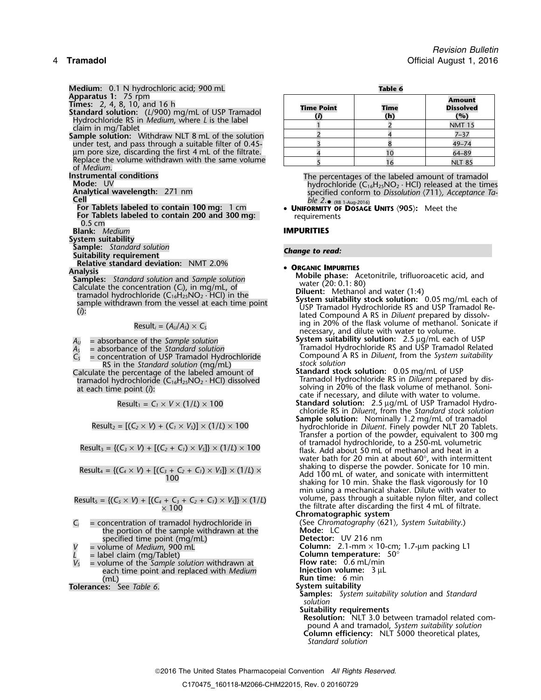**Medium:** 0.1 N hydrochloric acid; 900 mL<br> **Apparatus 1:** 75 rpm<br> **Times:** 2, 4, 8, 10, and 16 h Standard solution: (L/900) mg/mL of USP Tramadol<br>Hydrochloride RS in Medium, where L is the label claim in mg/Tablet Sample solution: Withdraw NLT 8 mL of the solution under test, and pass through a suitable filter of 0.45um pore size, discarding the first 4 mL of the filtrate. Replace the volume withdrawn with the same volume<br>of *Medium*. **Instrumental conditions**<br> **Mode:** UV<br> **Mode:** UV<br> **Mode:** UV<br> **Mode:** UV<br> **Mode:** UV<br> **Mode:** UV<br> **Mode:** UV<br> **Mode:** UV<br> **Mode:** UV<br> **Mode:** UV<br> **Mode:** UV<br> **Mode:** UV<br> **Mode:** UV<br> **Mode:** UV<br> **Mode:** UV<br> **Mode:** UV<br> **M** • (RB 1-Aug-2016) **For Tablets labeled to contain 100 mg:**<sup>1</sup> cm • **<sup>U</sup>NIFORMITY OF DOSAGE UNITS** 〈**905**〉**:** Meet the **For Tablets labeled to contain 200 and 300 mg: requirements 0.5 cm Blank:** *Medium* **IMPURITIES System suitability Sample:** *Standard solution Change to read:* **Suitability requirement Relative standard deviation:** NMT 2.0% •**Samples:** Standard deviation. The Tativity 2.0%<br> **Calculate the concentration (C<sub>i</sub>)**, in mg/mL, of<br>
tramadol hydrochloride (C<sub>16</sub>H<sub>25</sub>NO<sub>2</sub> · HCl) in the<br>
sample withdrawn from the vessel at each time point<br>
(i):<br>
(i):<br>

$$
Result_i = (A_U/A_S) \times C_S
$$

 $C_s$  = concentration of USP Tramadol Hydrochloride  $C_s$  = concentration of USP Tramadol Hydrochloride stock solution RS in the *Standard solution* (mg/mL) *stock solution*

Result<sub>4</sub> = {
$$
(C_4 \times V)
$$
 + [ $(C_3 + C_2 + C_1) \times V_5$ ]  $\times$  (1/*L*)  $\times$   
100

 $\times$  100

- $C_i$  = concentration of tramadol hydrochloride in  $\begin{array}{ccc} \text{(See Chromatography (621), System Suitability.)} \\ \text{the portion of the sample with drawn at the \end{array}$  **Mode:** LC the portion of the sample withdrawn at the **Mode:** LC specified time point (mg/mL)<br>= volume of *Medium*, 900 mL
- 

*<sup>V</sup><sup>S</sup>* = volume of the *Sample solution* withdrawn at **Flow rate:** 0.6 mL/min each time point and replaced with *Medium*<br>(mL)

**Tolerances:** See Table 6.

| <b>Time Point</b><br>(i) | <b>Time</b><br>(h) | <b>Amount</b><br><b>Dissolved</b><br>(%) |
|--------------------------|--------------------|------------------------------------------|
|                          |                    | <b>NMT 15</b>                            |
|                          |                    | $7 - 37$                                 |
|                          |                    | $49 - 74$                                |
|                          | 10                 | 64-89                                    |
|                          | 6                  | <b>NLT 85</b>                            |

- 
- 
- ing in 20% of the flask volume of methanol. Sonicate if Result*<sup>i</sup>* = (*AU*/*AS*) <sup>×</sup> *<sup>C</sup><sup>S</sup>* necessary, and dilute with water to volume.
- *<sup>A</sup>* **System suitability solution:** 2.5 <sup>µ</sup>g/mL each of USP *<sup>U</sup>* = absorbance of the *Sample solution A*<sub> $U$ </sub> = absorbance of the *Sample solution*<br>*A<sub>s</sub>* = absorbance of the *Standard solution*<br>*C<sub>s</sub>* = concentration of USP Tramadol Hydrochloride **Standard Compound A RS** in *Diluent*, from the *System suitability*
- Calculate the percentage of the labeled amount of **Standard stock solution:** 0.05 mg/mL of USP tramadol hydrochloride (C<sub>16</sub>H<sub>25</sub>NO<sub>2</sub> · HCl) dissolved **the tramadol Hydrochloride RS** in *Diluent* prepared by disat each time point (*i*):  $\frac{1}{2}$  is the flask volume of methanol. Soni-<br>at each time point (*i*): cate if necessary, and dilute with water to volume.
	- Result<sub>1</sub> =  $C_1 \times V \times (1/L) \times 100$  **Standard solution:** 2.5 µg/mL of USP Tramadol Hydrochloride RS in *Diluent*, from the *Standard stock solution*
- $\text{Result}_2 = \left[ (C_2 \times V) + (C_1 \times V_3) \right] \times (1/L) \times 100$  hydrochloride in *Diluent*. Finely powder NLT 20 Tablets. Transfer a portion of the powder, equivalent to 300 mg of tramadol hydrochloride, to a 250-mL volumetric Result<sup>3</sup> = {(*C<sup>3</sup>* <sup>×</sup> *<sup>V</sup>*) + [(*C2*<sup>+</sup>*C1*) <sup>×</sup> *<sup>V</sup>S*]} × (1/*L*) ×<sup>100</sup> flask. Add about 50 mL of methanol and heat in a water bath for 20 min at about  $60^{\circ}$ , with intermittent shaking to disperse the powder. Sonicate for 10 min. Add 100 mL of water, and sonicate with intermittent shaking for 10 min. Shake the flask vigorously for 10 min using a mechanical shaker. Dilute with water to Result<sub>s</sub> = { $(C_5 \times V)$  +  $[(C_4 + C_3 + C_2 + C_1) \times V_5]$ } × (1/*L*) volume, pass through a suitable nylon filter, and collect the filtrate after discarding the first 4 mL of filtrate. **Chromatographic system**
- *<sup>V</sup>* = volume of *Medium*, 900 mL **Column:** 2.1-mm × 10-cm; 1.7-µm packing L1 *L* = label claim (mg/Tablet) **Column temperature:**  $50^\circ$ <br> $V_s$  = volume of the *Sample solution* withdrawn at **Column temperature:** 0.6 mL/min **Run time:** 6 min<br>**System suitability** 
	- **Samples:** *System suitability solution* and *Standard solution*
	- **Suitability requirements**
	- **Resolution:** NLT 3.0 between tramadol related compound A and tramadol, *System suitability solution* **Column efficiency:** NLT 5000 theoretical plates, *Standard solution*
	- 2016 The United States Pharmacopeial Convention *All Rights Reserved.*